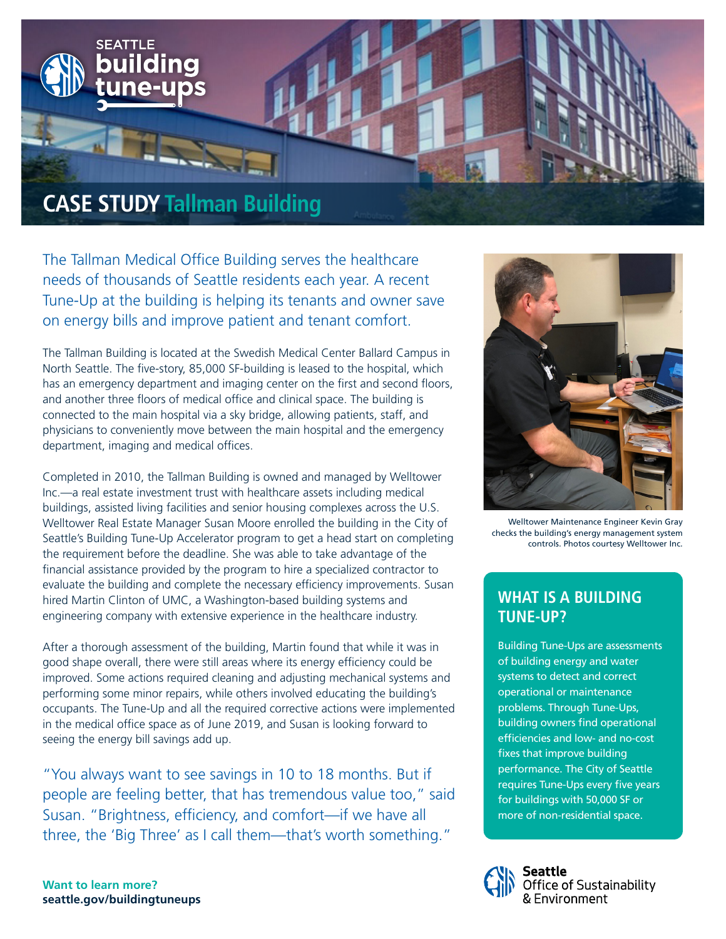

The Tallman Medical Office Building serves the healthcare needs of thousands of Seattle residents each year. A recent Tune-Up at the building is helping its tenants and owner save on energy bills and improve patient and tenant comfort.

The Tallman Building is located at the Swedish Medical Center Ballard Campus in North Seattle. The five-story, 85,000 SF-building is leased to the hospital, which has an emergency department and imaging center on the first and second floors, and another three floors of medical office and clinical space. The building is connected to the main hospital via a sky bridge, allowing patients, staff, and physicians to conveniently move between the main hospital and the emergency department, imaging and medical offices.

Completed in 2010, the Tallman Building is owned and managed by Welltower Inc.—a real estate investment trust with healthcare assets including medical buildings, assisted living facilities and senior housing complexes across the U.S. Welltower Real Estate Manager Susan Moore enrolled the building in the City of Seattle's Building Tune-Up Accelerator program to get a head start on completing the requirement before the deadline. She was able to take advantage of the financial assistance provided by the program to hire a specialized contractor to evaluate the building and complete the necessary efficiency improvements. Susan hired Martin Clinton of UMC, a Washington-based building systems and engineering company with extensive experience in the healthcare industry.

After a thorough assessment of the building, Martin found that while it was in good shape overall, there were still areas where its energy efficiency could be improved. Some actions required cleaning and adjusting mechanical systems and performing some minor repairs, while others involved educating the building's occupants. The Tune-Up and all the required corrective actions were implemented in the medical office space as of June 2019, and Susan is looking forward to seeing the energy bill savings add up.

"You always want to see savings in 10 to 18 months. But if people are feeling better, that has tremendous value too," said Susan. "Brightness, efficiency, and comfort—if we have all three, the 'Big Three' as I call them—that's worth something."



Welltower Maintenance Engineer Kevin Gray checks the building's energy management system controls. Photos courtesy Welltower Inc.

# **WHAT IS A BUILDING TUNE-UP?**

Building Tune-Ups are assessments of building energy and water systems to detect and correct operational or maintenance problems. Through Tune-Ups, building owners find operational efficiencies and low- and no-cost fixes that improve building performance. The City of Seattle requires Tune-Ups every five years for buildings with 50,000 SF or more of non-residential space.



ieattle Office of Sustainability **Environment** 

**Want to learn more? seattle.gov/buildingtuneups**